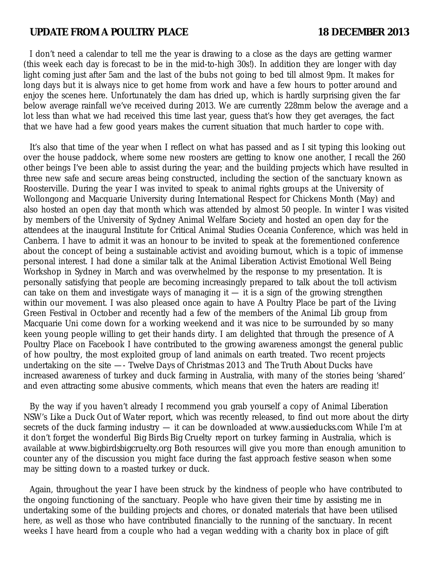## UPDATE FROM A POULTRY PLACE 18 DECEMBER 2013

I don't need a calendar to tell me the year is drawing to a close as the days are getting warmer (this week each day is forecast to be in the mid-to-high 30s!). In addition they are longer with day light coming just after 5am and the last of the bubs not going to bed till almost 9pm. It makes for long days but it is always nice to get home from work and have a few hours to potter around and enjoy the scenes here. Unfortunately the dam has dried up, which is hardly surprising given the far below average rainfall we've received during 2013. We are currently 228mm below the average and a lot less than what we had received this time last year, guess that's how they get averages, the fact that we have had a few good years makes the current situation that much harder to cope with.

It's also that time of the year when I reflect on what has passed and as I sit typing this looking out over the house paddock, where some new roosters are getting to know one another, I recall the 260 other beings I've been able to assist during the year; and the building projects which have resulted in three new safe and secure areas being constructed, including the section of the sanctuary known as Roosterville. During the year I was invited to speak to animal rights groups at the University of Wollongong and Macquarie University during International Respect for Chickens Month (May) and also hosted an open day that month which was attended by almost 50 people. In winter I was visited by members of the University of Sydney Animal Welfare Society and hosted an open day for the attendees at the inaugural Institute for Critical Animal Studies Oceania Conference, which was held in Canberra. I have to admit it was an honour to be invited to speak at the forementioned conference about the concept of being a sustainable activist and avoiding burnout, which is a topic of immense personal interest. I had done a similar talk at the Animal Liberation Activist Emotional Well Being Workshop in Sydney in March and was overwhelmed by the response to my presentation. It is personally satisfying that people are becoming increasingly prepared to talk about the toll activism can take on them and investigate ways of managing it  $-$  it is a sign of the growing strengthen within our movement. I was also pleased once again to have A Poultry Place be part of the Living Green Festival in October and recently had a few of the members of the Animal Lib group from Macquarie Uni come down for a working weekend and it was nice to be surrounded by so many keen young people willing to get their hands dirty. I am delighted that through the presence of A Poultry Place on Facebook I have contributed to the growing awareness amongst the general public of how poultry, the most exploited group of land animals on earth treated. Two recent projects undertaking on the site —- *Twelve Days of Christmas 2013* and *The Truth About Ducks* have increased awareness of turkey and duck farming in Australia, with many of the stories being 'shared' and even attracting some abusive comments, which means that even the haters are reading it!

By the way if you haven't already I recommend you grab yourself a copy of Animal Liberation NSW's *Like a Duck Out of Water* report, which was recently released, to find out more about the dirty secrets of the duck farming industry — it can be downloaded at *www.aussieducks.com* While I'm at it don't forget the wonderful *Big Birds Big Cruelty* report on turkey farming in Australia, which is available at *www.bigbirdsbigcruelty.org* Both resources will give you more than enough amunition to counter any of the discussion you might face during the fast approach festive season when some may be sitting down to a roasted turkey or duck.

Again, throughout the year I have been struck by the kindness of people who have contributed to the ongoing functioning of the sanctuary. People who have given their time by assisting me in undertaking some of the building projects and chores, or donated materials that have been utilised here, as well as those who have contributed financially to the running of the sanctuary. In recent weeks I have heard from a couple who had a vegan wedding with a charity box in place of gift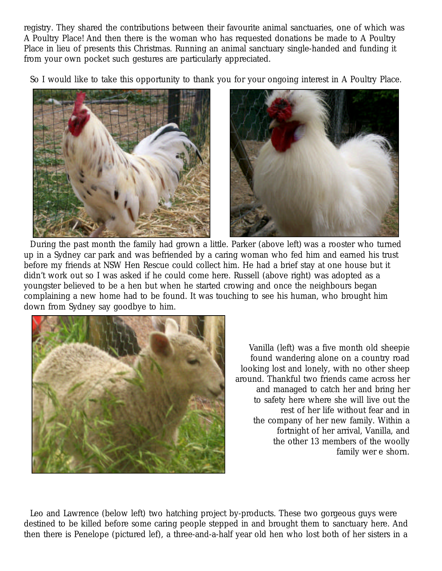registry. They shared the contributions between their favourite animal sanctuaries, one of which was A Poultry Place! And then there is the woman who has requested donations be made to A Poultry Place in lieu of presents this Christmas. Running an animal sanctuary single-handed and funding it from your own pocket such gestures are particularly appreciated.

So I would like to take this opportunity to thank you for your ongoing interest in A Poultry Place.



During the past month the family had grown a little. Parker (above left) was a rooster who turned up in a Sydney car park and was befriended by a caring woman who fed him and earned his trust before my friends at NSW Hen Rescue could collect him. He had a brief stay at one house but it didn't work out so I was asked if he could come here. Russell (above right) was adopted as a youngster believed to be a hen but when he started crowing and once the neighbours began complaining a new home had to be found. It was touching to see his human, who brought him down from Sydney say goodbye to him.



Vanilla (left) was a five month old sheepie found wandering alone on a country road looking lost and lonely, with no other sheep around. Thankful two friends came across her and managed to catch her and bring her to safety here where she will live out the rest of her life without fear and in the company of her new family. Within a fortnight of her arrival, Vanilla, and the other 13 members of the woolly family wer e shorn.

Leo and Lawrence (below left) two hatching project by-products. These two gorgeous guys were destined to be killed before some caring people stepped in and brought them to sanctuary here. And then there is Penelope (pictured lef), a three-and-a-half year old hen who lost both of her sisters in a